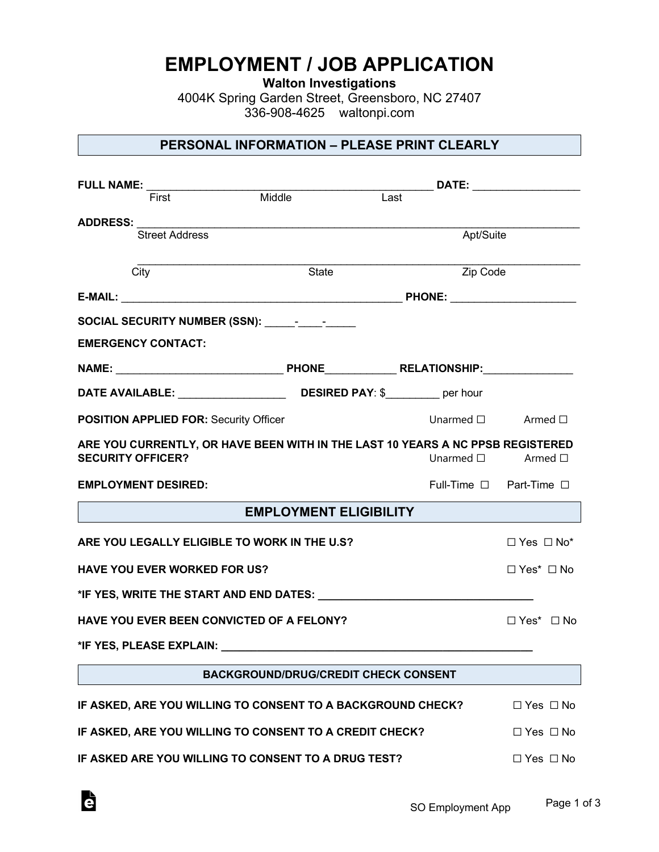# **EMPLOYMENT / JOB APPLICATION**

**Walton Investigations**

4004K Spring Garden Street, Greensboro, NC 27407 336-908-4625 waltonpi.com

## **PERSONAL INFORMATION – PLEASE PRINT CLEARLY**

| FULL NAME:                                                                                                 |                                             |      |                                   |  |
|------------------------------------------------------------------------------------------------------------|---------------------------------------------|------|-----------------------------------|--|
|                                                                                                            |                                             | Last |                                   |  |
| ADDRESS: ________<br><b>Street Address</b>                                                                 |                                             |      | Apt/Suite                         |  |
| City                                                                                                       | State                                       |      | Zip Code                          |  |
|                                                                                                            |                                             |      |                                   |  |
|                                                                                                            |                                             |      |                                   |  |
| <b>EMERGENCY CONTACT:</b>                                                                                  |                                             |      |                                   |  |
|                                                                                                            |                                             |      |                                   |  |
|                                                                                                            |                                             |      |                                   |  |
| <b>POSITION APPLIED FOR: Security Officer</b>                                                              |                                             |      | Unarmed $\square$ Armed $\square$ |  |
| ARE YOU CURRENTLY, OR HAVE BEEN WITH IN THE LAST 10 YEARS A NC PPSB REGISTERED<br><b>SECURITY OFFICER?</b> |                                             |      | Unarmed $\square$ Armed $\square$ |  |
| <b>EMPLOYMENT DESIRED:</b>                                                                                 |                                             |      | Full-Time □ Part-Time □           |  |
|                                                                                                            | <b>EMPLOYMENT ELIGIBILITY</b>               |      |                                   |  |
| ARE YOU LEGALLY ELIGIBLE TO WORK IN THE U.S?                                                               |                                             |      | $\Box$ Yes $\Box$ No*             |  |
| <b>HAVE YOU EVER WORKED FOR US?</b>                                                                        |                                             |      | $\Box$ Yes* $\Box$ No             |  |
|                                                                                                            |                                             |      |                                   |  |
| HAVE YOU EVER BEEN CONVICTED OF A FELONY?                                                                  |                                             |      | $\Box$ Yes* $\Box$ No             |  |
|                                                                                                            |                                             |      |                                   |  |
|                                                                                                            | <b>BACKGROUND/DRUG/CREDIT CHECK CONSENT</b> |      |                                   |  |
|                                                                                                            |                                             |      |                                   |  |
| IF ASKED, ARE YOU WILLING TO CONSENT TO A BACKGROUND CHECK?                                                |                                             |      | $\Box$ Yes $\Box$ No              |  |
| IF ASKED, ARE YOU WILLING TO CONSENT TO A CREDIT CHECK?                                                    |                                             |      | $\Box$ Yes $\Box$ No              |  |
| IF ASKED ARE YOU WILLING TO CONSENT TO A DRUG TEST?                                                        |                                             |      | $\Box$ Yes $\Box$ No              |  |

Ġ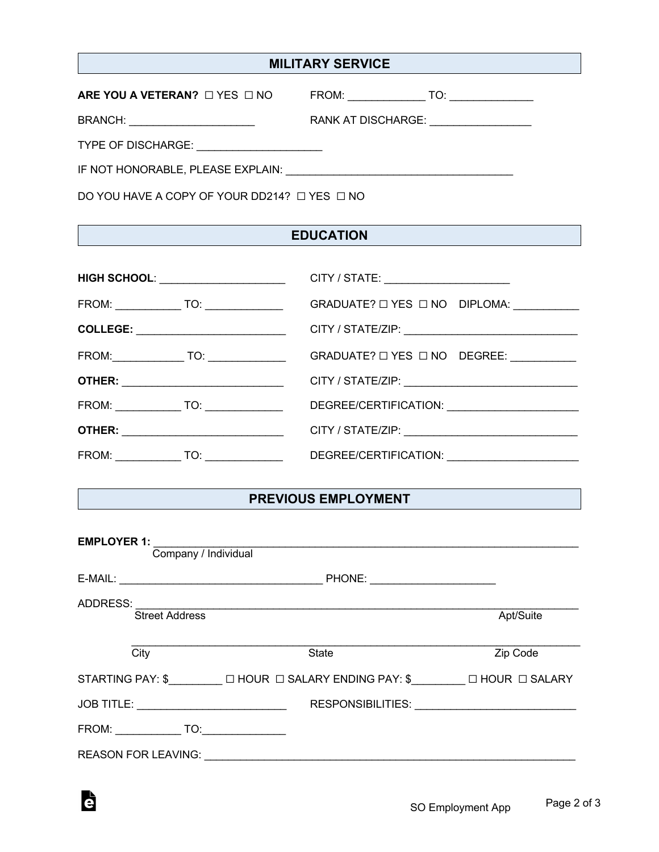## **MILITARY SERVICE**

| ARE YOU A VETERAN? $\Box$ YES $\Box$ NO | FROM:<br>TO:       |
|-----------------------------------------|--------------------|
| <b>BRANCH:</b>                          | RANK AT DISCHARGE: |
| <b>TYPE OF DISCHARGE:</b>               |                    |
| IF NOT HONORABLE, PLEASE EXPLAIN:       |                    |

G

DO YOU HAVE A COPY OF YOUR DD214? ☐ YES ☐ NO

## **EDUCATION**

| <b>HIGH SCHOOL:</b> _____________________   | CITY / STATE: _______________________                                            |
|---------------------------------------------|----------------------------------------------------------------------------------|
| FROM: _______________ TO: ________________  | GRADUATE? O YES O NO DIPLOMA: __________                                         |
| COLLEGE: ________________________________   |                                                                                  |
|                                             | GRADUATE? □ YES □ NO DEGREE: __________                                          |
| <b>OTHER:</b> _____________________________ |                                                                                  |
| FROM: _______________ TO: ________________  |                                                                                  |
| <b>OTHER:</b> _____________________________ |                                                                                  |
|                                             | FROM: _______________TO: __________________  DEGREE/CERTIFICATION: _____________ |

#### **PREVIOUS EMPLOYMENT**

| <b>EMPLOYER 1:</b><br>Company / Individual |                                                               |                                                   |  |  |
|--------------------------------------------|---------------------------------------------------------------|---------------------------------------------------|--|--|
|                                            | PHONE: ________________________                               |                                                   |  |  |
|                                            |                                                               |                                                   |  |  |
| <b>Street Address</b>                      |                                                               | Apt/Suite                                         |  |  |
| City                                       | <b>State</b>                                                  | Zip Code                                          |  |  |
|                                            | STARTING PAY: \$□ HOUR □ SALARY ENDING PAY: \$□ HOUR □ SALARY |                                                   |  |  |
|                                            |                                                               | RESPONSIBILITIES: VALUE AND THE RESPONSIBILITIES: |  |  |
| FROM: TO:                                  |                                                               |                                                   |  |  |
| <b>REASON FOR LEAVING:</b>                 |                                                               |                                                   |  |  |